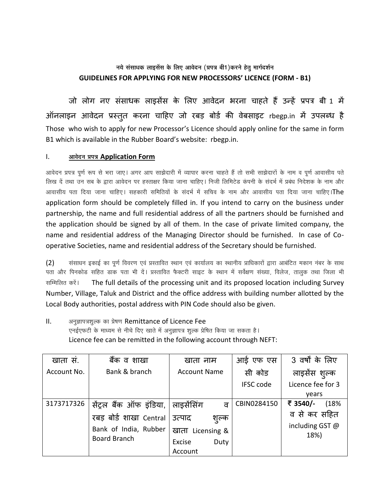## नये संसाधक लाइसेंस के लिए आवेदन (प्रपत्र बी1)करने हेतू मार्गदर्शन **GUIDELINES FOR APPLYING FOR NEW PROCESSORS' LICENCE (FORM - B1)**

जो लोग नए संसाधक लाइसेंस के लिए आवेदन भरना चाहते हैं उन्हें प्रपत्र बी 1 में ऑनलाइन आवेदन प्रस्तुत करना चाहिए जो रबड़ बोर्ड की वेबसाइट rbegp.in में उपलब्ध है Those who wish to apply for new Processor's Licence should apply online for the same in form B1 which is available in the Rubber Board's website: rbegp.in.

## $\mathbf{L}$ आवेदन प्रपत्र Application Form

आवेदन प्रपत्र पूर्ण रूप से भरा जाए। अगर आप साझेदारी में व्यापार करना चाहते हैं तो सभी साझेदारों के नाम व पूर्ण आवासीय पते लिख दें तथा उन सब के द्वारा आवेदन पर हस्ताक्षर किया जाना चाहिए। निजी लिमिटेड कंपनी के संदर्भ में प्रबंध निदेशक के नाम और आवासीय पता दिया जाना चाहिए। सहकारी समितियों के संदर्भ में सचिव के नाम और आवासीय पता दिया जाना चाहिए।**The** application form should be completely filled in. If you intend to carry on the business under partnership, the name and full residential address of all the partners should be furnished and the application should be signed by all of them. In the case of private limited company, the name and residential address of the Managing Director should be furnished. In case of Cooperative Societies, name and residential address of the Secretary should be furnished.

संसाधन इकाई का पूर्ण विवरण एवं प्रस्तावित स्थान एवं कार्यालय का स्थानीय प्राधिकारों द्वारा आबंटित मकान नंबर के साथ  $(2)$ पता और पिनकोड सहित डाक पता भी दें। प्रस्तावित फैक्टरी साइट के स्थान में सर्वेक्षण संख्या, विलेज, तालुक तथा जिला भी सम्मिलित करें। The full details of the processing unit and its proposed location including Survey Number, Village, Taluk and District and the office address with building number allotted by the Local Body authorities, postal address with PIN Code should also be given.

 $II.$ अनुज्ञापत्रशुल्क का प्रेषण Remittance of Licence Fee एनईएफटी के माध्यम से नीचे दिए खाते में अनुज्ञापत्र शुल्क प्रेषित किया जा सकता है। Licence fee can be remitted in the following account through NEFT:

| खाता स.               | बैंक व शाखा             | खाता नाम            |       | आई एफ एस         | 3 वर्षों के लिए         |
|-----------------------|-------------------------|---------------------|-------|------------------|-------------------------|
| Account No.           | Bank & branch           | <b>Account Name</b> |       | सी कोड           | लाइसेंस शुल्क           |
|                       |                         |                     |       | <b>IFSC code</b> | Licence fee for 3       |
|                       |                         |                     |       |                  | vears                   |
| 3173717326            | सेंट्रल बैंक ऑफ इंडिया, | लाइसेंसिंग          | ਕ     | CBIN0284150      | ₹ 3540/-<br>(18%        |
|                       | रबड़ बोर्ड शाखा Central | उत्पाद              | शुल्क |                  | व से कर सहित            |
| Bank of India, Rubber |                         | खाता Licensing &    |       |                  | including GST @<br>18%) |
|                       | <b>Board Branch</b>     | Excise              | Duty  |                  |                         |
|                       |                         | Account             |       |                  |                         |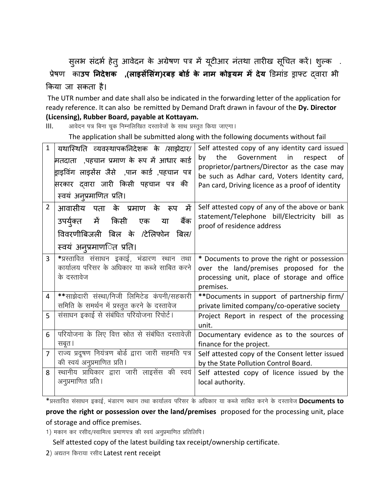सुलभ संदर्भ हेतु आवेदन के अग्रेषण पत्र में यूटीआर नंतथा तारीख सूचित करें। शुल्क .

प्रेषण काउप **निदेशक ,(लाइसेंसिंग)रबड़ बोर्ड के नाम कोइयम में देय** डिमांड ड्राफ्ट दवारा भी किया जा सकता है।

The UTR number and date shall also be indicated in the forwarding letter of the application for ready reference. It can also be remitted by Demand Draft drawn in favour of the Dy. Director (Licensing), Rubber Board, payable at Kottayam.

आवेदन पत्र बिना चूक निम्नलिखित दस्तावेजों के साथ प्रस्तुत किया जाएगा।  $III.$ 

The application shall be submitted along with the following documents without fail

| $\mathbf{1}$   | यथास्थिति व्यवस्थापकनिदेशक के /साझेदार/<br>मतदाता ,पहचान प्रमाण के रूप में आधार कार्ड<br>ड्राइविंग लाइसेंस जैसे  ,पान कार्ड ,पहचान पत्र<br>सरकार दवारा जारी किसी पहचान पत्र की<br>स्वयं अनुप्रमाणित प्रति। | Self attested copy of any identity card issued<br>the<br>Government in respect<br>by<br>.of<br>proprietor/partners/Director as the case may<br>be such as Adhar card, Voters Identity card,<br>Pan card, Driving licence as a proof of identity |
|----------------|------------------------------------------------------------------------------------------------------------------------------------------------------------------------------------------------------------|-------------------------------------------------------------------------------------------------------------------------------------------------------------------------------------------------------------------------------------------------|
| $\overline{2}$ | आवासीय पता के प्रमाण के रूप<br>में<br>उपर्युक्त में किसी एक<br>बैंक<br>या<br>विवरणीबिजली बिल के /टेलिफोन बिल/<br>स्वयं अनुप्रमाणिति प्रति।                                                                 | Self attested copy of any of the above or bank<br>statement/Telephone bill/Electricity bill as<br>proof of residence address                                                                                                                    |
| 3              | *प्रस्तावित संसाधन इकाई, भंडारण स्थान तथा<br>कार्यालय परिसर के अधिकार या कब्जे साबित करने<br>के दस्तावेज                                                                                                   | * Documents to prove the right or possession<br>over the land/premises proposed for the<br>processing unit, place of storage and office<br>premises.                                                                                            |
| 4              | **साझेदारी संस्था/निजी लिमिटेड कंपनी/सहकारी<br>समिति के समर्थन में प्रस्तुत करने के दस्तावेज                                                                                                               | **Documents in support of partnership firm/<br>private limited company/co-operative society                                                                                                                                                     |
| 5              | संसाधन इकाई से संबंधित परियोजना रिपोर्ट।                                                                                                                                                                   | Project Report in respect of the processing<br>unit.                                                                                                                                                                                            |
| 6              | परियोजना के लिए वित्त स्रोत से संबंधित दस्तावेज़ी<br>सबूत ।                                                                                                                                                | Documentary evidence as to the sources of<br>finance for the project.                                                                                                                                                                           |
| $\overline{7}$ | राज्य प्रदूषण नियंत्रण बोर्ड द्वारा जारी सहमति पत्र<br>की स्वयं अनुप्रमाणित प्रति।                                                                                                                         | Self attested copy of the Consent letter issued<br>by the State Pollution Control Board.                                                                                                                                                        |
| 8              | स्थानीय प्राधिकार द्वारा जारी लाइसेंस की स्वयं<br>अनुप्रमाणित प्रति ।                                                                                                                                      | Self attested copy of licence issued by the<br>local authority.                                                                                                                                                                                 |

\*प्रस्तावित संसाधन इकाई, भंडारण स्थान तथा कार्यालय परिसर के अधिकार या कब्जे साबित करने के दस्तावेज **Documents to** 

prove the right or possession over the land/premises proposed for the processing unit, place of storage and office premises.

1) मकान कर रसीद/स्वामित्व प्रमाणपत्र की स्वयं अनुप्रमाणित प्रतिलिपि।

Self attested copy of the latest building tax receipt/ownership certificate.

2) अद्यतन किराया रसीद Latest rent receipt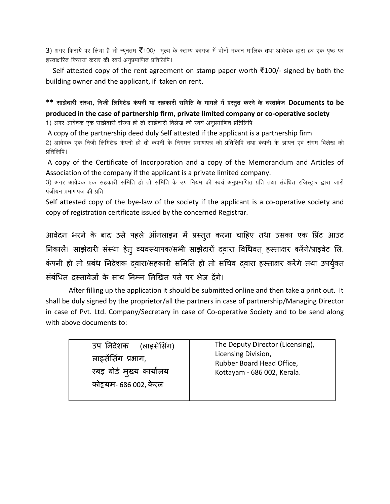3) अगर किराये पर लिया है तो न्यूनतम ₹100/- मूल्य के स्टाम्प कागज़ में दोनों मकान मालिक तथा आवेदक द्वारा हर एक पृष्ठ पर हस्ताक्षरित किराया करार की स्वयं अनुप्रमाणित प्रतिलिपि।

Self attested copy of the rent agreement on stamp paper worth ₹100/- signed by both the building owner and the applicant, if taken on rent.

\*\* साझेदारी संस्था, निजी लिमिटेड कंपनी या सहकारी समिति के मामले में प्रस्तुत करने के दस्तावेज Documents to be produced in the case of partnership firm, private limited company or co-operative society

1) अगर आवेदक एक साझेदारी संस्था हो तो साझेदारी विलेख की स्वयं अनुप्रमाणित प्रतिलिपि

A copy of the partnership deed duly Self attested if the applicant is a partnership firm

2) आवेदक एक निजी लिमिटेड कंपनी हो तो कंपनी के निगमन प्रमाणपत्र की प्रतिलिपि तथा कंपनी के ज्ञापन एवं संगम विलेख की प्रतिलिपि ।

A copy of the Certificate of Incorporation and a copy of the Memorandum and Articles of Association of the company if the applicant is a private limited company.

3) अगर आवेदक एक सहकारी समिति हो तो समिति के उप नियम की स्वयं अनुप्रमाणित प्रति तथा संबंधित रजिस्ट्रार द्वारा जारी पंजीयन प्रमाणपत्र की प्रति।

Self attested copy of the bye-law of the society if the applicant is a co-operative society and copy of registration certificate issued by the concerned Registrar.

आवेदन भरने के बाद उसे पहले ऑनलाइन में प्रस्तुत करना चाहिए तथा उसका एक प्रिंट आउट निकालें। साझेदारी संस्था हेत् व्यवस्थापक/सभी साझेदारों दवारा विधिवत हस्ताक्षर करेंगे/प्राइवेट लि. कंपनी हो तो प्रबंध निदेशक दवारा/सहकारी समिति हो तो सचिव दवारा हस्ताक्षर करेंगे तथा उपर्युक्त संबंधित दस्तावेजों के साथ निम्न लिखित पते पर भेज देंगे।

After filling up the application it should be submitted online and then take a print out. It shall be duly signed by the proprietor/all the partners in case of partnership/Managing Director in case of Pvt. Ltd. Company/Secretary in case of Co-operative Society and to be send along with above documents to: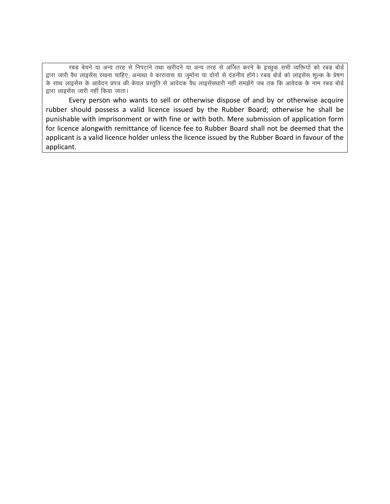रबड़ बेचने या अन्य तरह से निपटाने तथा खरीदने या अन्य तरह से अर्जित करने के इच्छुक सभी व्यक्तियों को रबड़ बोर्ड द्वारा जारी वैध लाइसेंस रखना चाहिए; अन्यथा वे कारावास या जुर्माना या दोनों से दंडनीय होंगे। रबड़ बोर्ड को लाइसेंस शुल्क के प्रेषण के साथ लाइसेंस के आवेदन प्रपत्र की केवल प्रस्तुति से आवेदक वैध लाइसेंसधारी नहीं समझेंगे जब तक कि आवेदक के नाम रबड़ बोर्ड द्वारा लाइसेंस जारी नहीं किया जाता।

Every person who wants to sell or otherwise dispose of and by or otherwise acquire rubber should possess a valid licence issued by the Rubber Board; otherwise he shall be punishable with imprisonment or with fine or with both. Mere submission of application form for licence alongwith remittance of licence fee to Rubber Board shall not be deemed that the applicant is a valid licence holder unless the licence issued by the Rubber Board in favour of the applicant.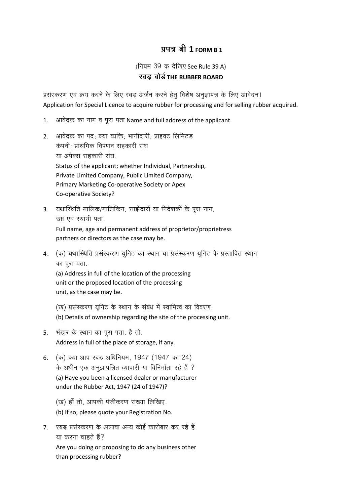## $747$  at 1 FORM B 1

(नियम 39 क देखिए See Rule 39 A)

## रबड़ बोर्ड THE RUBBER BOARD

प्रसंस्करण एवं क्रय करने के लिए रबड़ अर्जन करने हेतू विशेष अनुज्ञापत्र के लिए आवेदन। Application for Special Licence to acquire rubber for processing and for selling rubber acquired.

- आवेदक का नाम व पूरा पता Name and full address of the applicant.  $\mathbf{1}$ .
- 2. आवेदक का पद; क्या व्यक्ति; भागीदारी; प्राइवट लिमिटड कंपनी; प्राथमिक विपणन सहकारी संघ या अपेक्स सहकारी संघ. Status of the applicant; whether Individual, Partnership, Private Limited Company, Public Limited Company, Primary Marketing Co-operative Society or Apex Co-operative Society?
- 3. यथास्थिति मालिक/मालिकिन, साझेदारों या निदेशकों के पूरा नाम, उम्र एवं स्थायी पता. Full name, age and permanent address of proprietor/proprietress partners or directors as the case may be.
- 4. (क) यथास्थिति प्रसंस्करण यूनिट का स्थान या प्रसंस्करण यूनिट के प्रस्तावित स्थान का पूरा पता.

(a) Address in full of the location of the processing unit or the proposed location of the processing unit, as the case may be.

- (ख) प्रसंस्करण युनिट के स्थान के संबंध में स्वामित्व का विवरण.
- (b) Details of ownership regarding the site of the processing unit.
- 5. भंडार के स्थान का पूरा पता, है तो. Address in full of the place of storage, if any.
- 6. (क) क्या आप रबड़ अधिनियम, 1947 (1947 का 24) के अधीन एक अनुज्ञापत्रित व्यापारी या विनिर्माता रहे हैं ? (a) Have you been a licensed dealer or manufacturer under the Rubber Act, 1947 (24 of 1947)?
	- (ख) हाँ तो, आपकी पंजीकरण संख्या लिखिए.
	- (b) If so, please quote your Registration No.
- 7. रबड़ प्रसंस्करण के अलावा अन्य कोई कारोबार कर रहे हैं या करना चाहते हैं?

Are you doing or proposing to do any business other than processing rubber?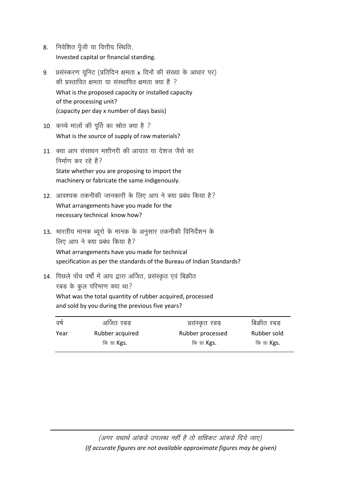- 8. निवेशित पूँजी या वित्तीय स्थिति. Invested capital or financial standing.
- 9. प्रसंस्करण यूनिट (प्रतिदिन क्षमता x दिनों की संख्या के आधार पर) की प्रस्तावित क्षमता या संस्थापित क्षमता क्या हैं ? What is the proposed capacity or installed capacity of the processing unit? (capacity per day x number of days basis)
- 10. कच्चे मालों की पूर्ति का स्रोत क्या है ? What is the source of supply of raw materials?
- 11. क्या आप संसाधन मशीनरी की आयात या देशज जैसे का निर्माण कर रहे हैं? State whether you are proposing to import the machinery or fabricate the same indigenously.
- 12. आवश्यक तकनीकी जानकारी के लिए आप ने क्या प्रबंध किया है? What arrangements have you made for the necessary technical know how?
- 13. भारतीय मानक ब्यूरो के मानक के अनुसार तकनीकी विनिर्देशन के लिए आप ने क्या प्रबंध किया है? What arrangements have you made for technical specification as per the standards of the Bureau of Indian Standards?
- 14. पिछले पाँच वर्षों में आप द्वारा अर्जित, प्रसंस्कृत एवं बिक्रीत रबड़ के कुल परिमाण क्या था? What was the total quantity of rubber acquired, processed and sold by you during the previous five years?

| वर्ष | अर्जित रबड़         | प्रसस्कृत रबड़      | बिक्रीत रबड़ |
|------|---------------------|---------------------|--------------|
| Year | Rubber acquired     | Rubber processed    | Rubber sold  |
|      | कि ग्रा <b>Kgs.</b> | कि ग्रा <b>Kgs.</b> | कि ग्रा Kgs. |

(अगर यथार्थ आंकड़े उपलब्ध नहीं है तो सन्निकट आंकड़े दिये जाए) (If accurate figures are not available approximate figures may be given)